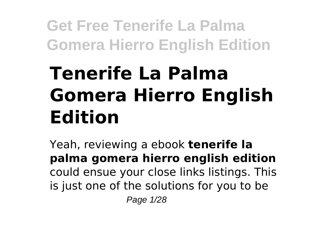# **Tenerife La Palma Gomera Hierro English Edition**

Yeah, reviewing a ebook **tenerife la palma gomera hierro english edition** could ensue your close links listings. This is just one of the solutions for you to be Page 1/28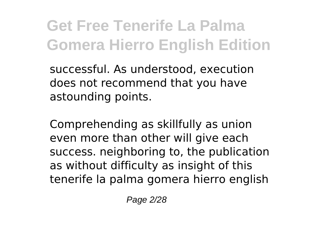successful. As understood, execution does not recommend that you have astounding points.

Comprehending as skillfully as union even more than other will give each success. neighboring to, the publication as without difficulty as insight of this tenerife la palma gomera hierro english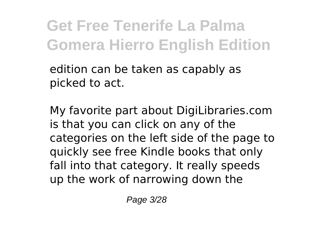edition can be taken as capably as picked to act.

My favorite part about DigiLibraries.com is that you can click on any of the categories on the left side of the page to quickly see free Kindle books that only fall into that category. It really speeds up the work of narrowing down the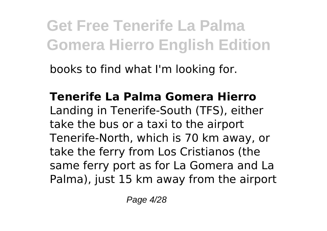books to find what I'm looking for.

**Tenerife La Palma Gomera Hierro** Landing in Tenerife-South (TFS), either take the bus or a taxi to the airport Tenerife-North, which is 70 km away, or take the ferry from Los Cristianos (the same ferry port as for La Gomera and La Palma), just 15 km away from the airport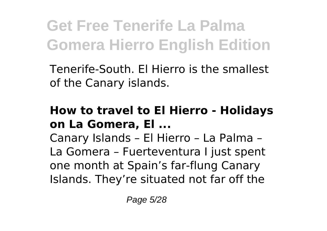Tenerife-South. El Hierro is the smallest of the Canary islands.

#### **How to travel to El Hierro - Holidays on La Gomera, El ...**

Canary Islands – El Hierro – La Palma – La Gomera – Fuerteventura I just spent one month at Spain's far-flung Canary Islands. They're situated not far off the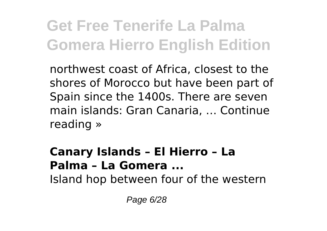northwest coast of Africa, closest to the shores of Morocco but have been part of Spain since the 1400s. There are seven main islands: Gran Canaria, … Continue reading »

#### **Canary Islands – El Hierro – La Palma – La Gomera ...**

Island hop between four of the western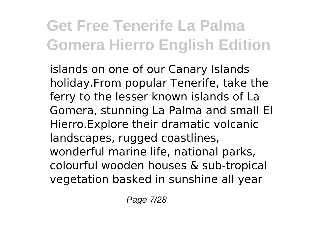islands on one of our Canary Islands holiday.From popular Tenerife, take the ferry to the lesser known islands of La Gomera, stunning La Palma and small El Hierro.Explore their dramatic volcanic landscapes, rugged coastlines, wonderful marine life, national parks, colourful wooden houses & sub-tropical vegetation basked in sunshine all year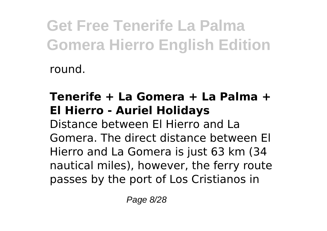round.

#### **Tenerife + La Gomera + La Palma + El Hierro - Auriel Holidays**

Distance between El Hierro and La Gomera. The direct distance between El Hierro and La Gomera is just 63 km (34 nautical miles), however, the ferry route passes by the port of Los Cristianos in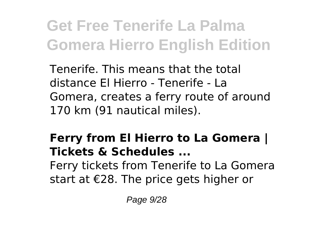Tenerife. This means that the total distance El Hierro - Tenerife - La Gomera, creates a ferry route of around 170 km (91 nautical miles).

#### **Ferry from El Hierro to La Gomera | Tickets & Schedules ...** Ferry tickets from Tenerife to La Gomera start at €28. The price gets higher or

Page 9/28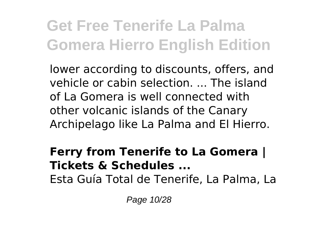lower according to discounts, offers, and vehicle or cabin selection. ... The island of La Gomera is well connected with other volcanic islands of the Canary Archipelago like La Palma and El Hierro.

#### **Ferry from Tenerife to La Gomera | Tickets & Schedules ...**

Esta Guía Total de Tenerife, La Palma, La

Page 10/28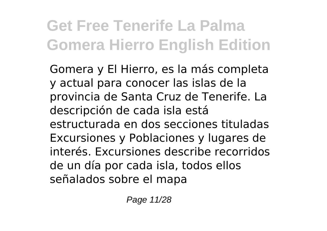Gomera y El Hierro, es la más completa y actual para conocer las islas de la provincia de Santa Cruz de Tenerife. La descripción de cada isla está estructurada en dos secciones tituladas Excursiones y Poblaciones y lugares de interés. Excursiones describe recorridos de un día por cada isla, todos ellos señalados sobre el mapa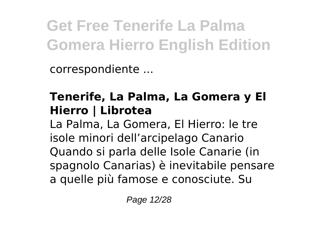correspondiente ...

#### **Tenerife, La Palma, La Gomera y El Hierro | Librotea**

La Palma, La Gomera, El Hierro: le tre isole minori dell'arcipelago Canario Quando si parla delle Isole Canarie (in spagnolo Canarias) è inevitabile pensare a quelle più famose e conosciute. Su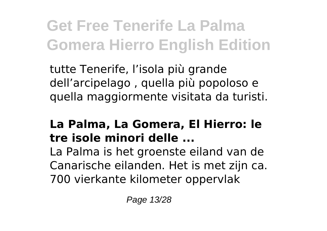tutte Tenerife, l'isola più grande dell'arcipelago , quella più popoloso e quella maggiormente visitata da turisti.

#### **La Palma, La Gomera, El Hierro: le tre isole minori delle ...**

La Palma is het groenste eiland van de Canarische eilanden. Het is met zijn ca. 700 vierkante kilometer oppervlak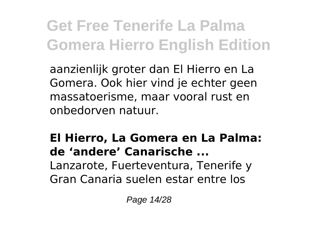aanzienlijk groter dan El Hierro en La Gomera. Ook hier vind je echter geen massatoerisme, maar vooral rust en onbedorven natuur.

#### **El Hierro, La Gomera en La Palma: de 'andere' Canarische ...** Lanzarote, Fuerteventura, Tenerife y

Gran Canaria suelen estar entre los

Page 14/28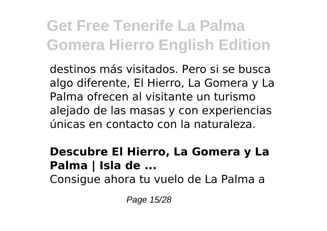destinos más visitados. Pero si se busca algo diferente, El Hierro, La Gomera y La Palma ofrecen al visitante un turismo alejado de las masas y con experiencias únicas en contacto con la naturaleza.

#### **Descubre El Hierro, La Gomera y La Palma | Isla de ...**

Consigue ahora tu vuelo de La Palma a

Page 15/28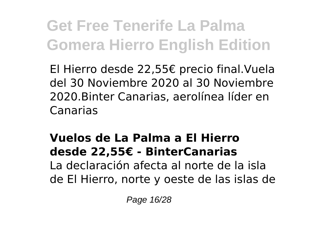El Hierro desde 22,55€ precio final.Vuela del 30 Noviembre 2020 al 30 Noviembre 2020.Binter Canarias, aerolínea líder en Canarias

#### **Vuelos de La Palma a El Hierro desde 22,55€ - BinterCanarias** La declaración afecta al norte de la isla de El Hierro, norte y oeste de las islas de

Page 16/28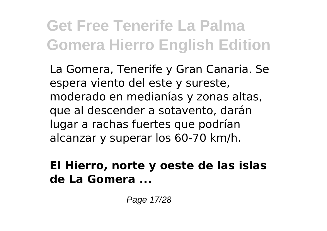La Gomera, Tenerife y Gran Canaria. Se espera viento del este y sureste, moderado en medianías y zonas altas, que al descender a sotavento, darán lugar a rachas fuertes que podrían alcanzar y superar los 60-70 km/h.

#### **El Hierro, norte y oeste de las islas de La Gomera ...**

Page 17/28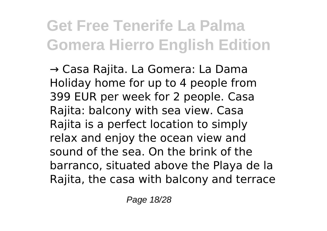→ Casa Rajita. La Gomera: La Dama Holiday home for up to 4 people from 399 EUR per week for 2 people. Casa Rajita: balcony with sea view. Casa Rajita is a perfect location to simply relax and enjoy the ocean view and sound of the sea. On the brink of the barranco, situated above the Playa de la Rajita, the casa with balcony and terrace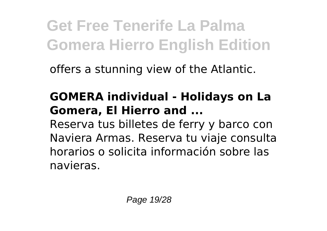offers a stunning view of the Atlantic.

#### **GOMERA individual - Holidays on La Gomera, El Hierro and ...**

Reserva tus billetes de ferry y barco con Naviera Armas. Reserva tu viaje️ consulta horarios o solicita información sobre las navieras.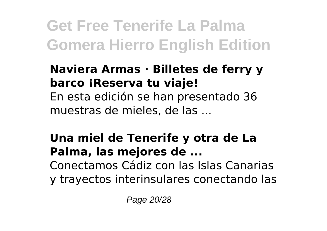#### **Naviera Armas · Billetes de ferry y barco ¡Reserva tu viaje!** En esta edición se han presentado 36 muestras de mieles, de las ...

#### **Una miel de Tenerife y otra de La Palma, las mejores de ...** Conectamos Cádiz con las Islas Canarias

y trayectos interinsulares conectando las

Page 20/28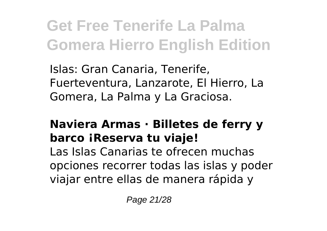Islas: Gran Canaria, Tenerife, Fuerteventura, Lanzarote, El Hierro, La Gomera, La Palma y La Graciosa.

#### **Naviera Armas · Billetes de ferry y barco ¡Reserva tu viaje!**

Las Islas Canarias te ofrecen muchas opciones recorrer todas las islas y poder viajar entre ellas de manera rápida y

Page 21/28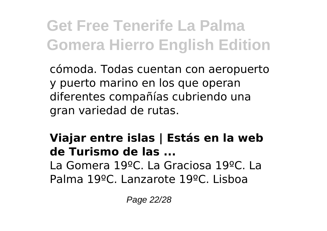cómoda. Todas cuentan con aeropuerto y puerto marino en los que operan diferentes compañías cubriendo una gran variedad de rutas.

#### **Viajar entre islas | Estás en la web de Turismo de las ...** La Gomera 19ºC. La Graciosa 19ºC. La Palma 19ºC. Lanzarote 19ºC. Lisboa

Page 22/28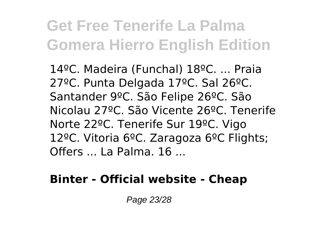14ºC. Madeira (Funchal) 18ºC. ... Praia 27ºC. Punta Delgada 17ºC. Sal 26ºC. Santander 9ºC. São Felipe 26ºC. São Nicolau 27ºC. São Vicente 26ºC. Tenerife Norte 22ºC. Tenerife Sur 19ºC. Vigo 12ºC. Vitoria 6ºC. Zaragoza 6ºC Flights; Offers ... La Palma. 16 ...

#### **Binter - Official website - Cheap**

Page 23/28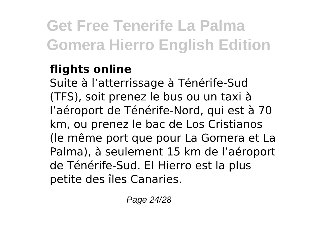#### **flights online**

Suite à l'atterrissage à Ténérife-Sud (TFS), soit prenez le bus ou un taxi à l'aéroport de Ténérife-Nord, qui est à 70 km, ou prenez le bac de Los Cristianos (le même port que pour La Gomera et La Palma), à seulement 15 km de l'aéroport de Ténérife-Sud. El Hierro est la plus petite des îles Canaries.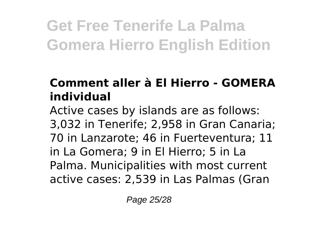#### **Comment aller à El Hierro - GOMERA individual**

Active cases by islands are as follows: 3,032 in Tenerife; 2,958 in Gran Canaria; 70 in Lanzarote; 46 in Fuerteventura; 11 in La Gomera; 9 in El Hierro; 5 in La Palma. Municipalities with most current active cases: 2,539 in Las Palmas (Gran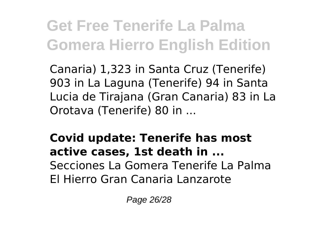Canaria) 1,323 in Santa Cruz (Tenerife) 903 in La Laguna (Tenerife) 94 in Santa Lucia de Tirajana (Gran Canaria) 83 in La Orotava (Tenerife) 80 in ...

**Covid update: Tenerife has most active cases, 1st death in ...** Secciones La Gomera Tenerife La Palma El Hierro Gran Canaria Lanzarote

Page 26/28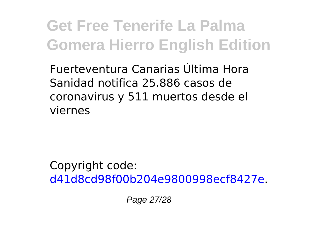Fuerteventura Canarias Última Hora Sanidad notifica 25.886 casos de coronavirus y 511 muertos desde el viernes

Copyright code: [d41d8cd98f00b204e9800998ecf8427e.](/sitemap.xml)

Page 27/28